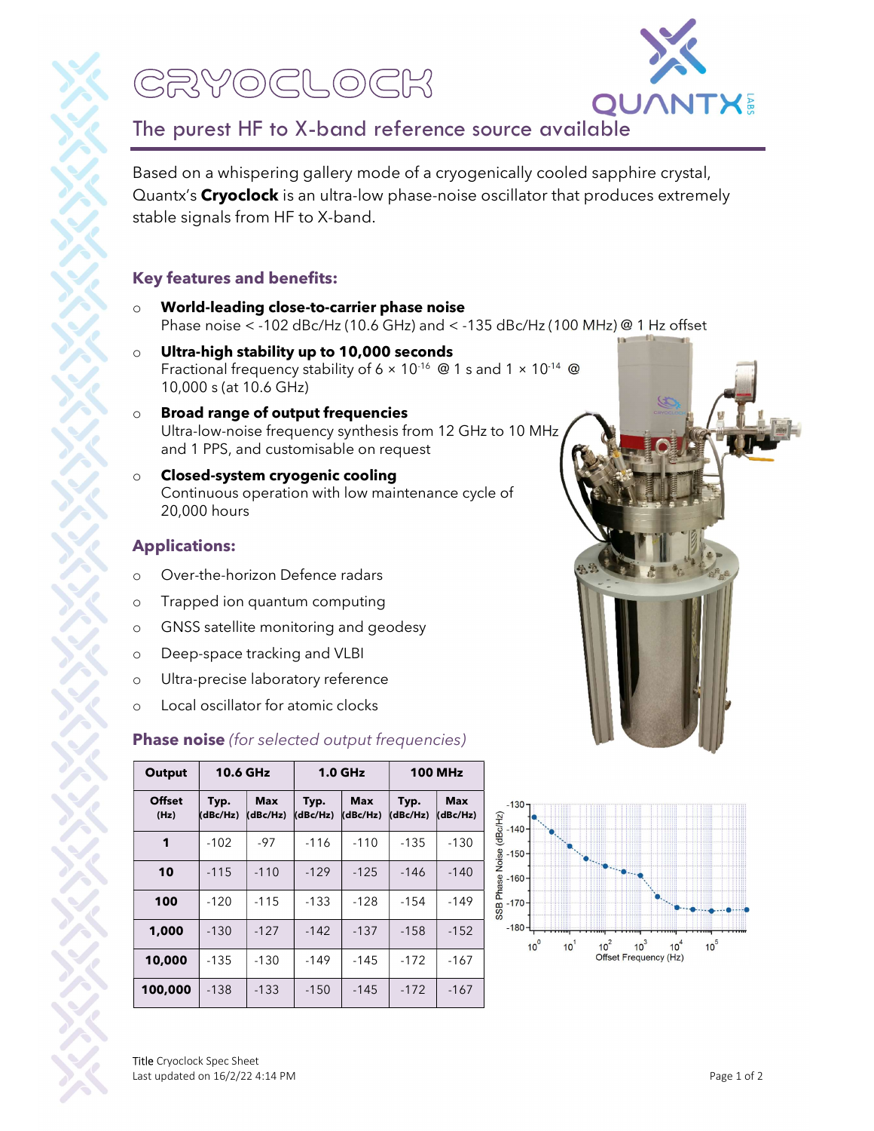# CRYOCLOCK



## The purest HF to X-band reference source available

Based on a whispering gallery mode of a cryogenically cooled sapphire crystal, Quantx's Cryoclock is an ultra-low phase-noise oscillator that produces extremely stable signals from HF to X-band.

#### Key features and benefits:

- o World-leading close-to-carrier phase noise Phase noise < -102 dBc/Hz (10.6 GHz) and < -135 dBc/Hz (100 MHz) @ 1 Hz offset
- o Ultra-high stability up to 10,000 seconds Fractional frequency stability of  $6 \times 10^{-16}$  @ 1 s and  $1 \times 10^{-14}$  @ 10,000 s (at 10.6 GHz)
- o Broad range of output frequencies Ultra-low-noise frequency synthesis from 12 GHz to 10 MHz and 1 PPS, and customisable on request
- o Closed-system cryogenic cooling Continuous operation with low maintenance cycle of 20,000 hours

#### Applications:

- o Over-the-horizon Defence radars
- o Trapped ion quantum computing
- o GNSS satellite monitoring and geodesy
- o Deep-space tracking and VLBI
- o Ultra-precise laboratory reference
- o Local oscillator for atomic clocks

#### **Phase noise** (for selected output frequencies)

| Output                | 10.6 GHz         |                        | 1.0 <sub>GHz</sub> |                        | <b>100 MHz</b>   |                        |                                               |
|-----------------------|------------------|------------------------|--------------------|------------------------|------------------|------------------------|-----------------------------------------------|
| <b>Offset</b><br>(Hz) | Typ.<br>(dBc/Hz) | <b>Max</b><br>(dBc/Hz) | Typ.<br>(dBc/Hz)   | <b>Max</b><br>(dBc/Hz) | Typ.<br>(dBc/Hz) | <b>Max</b><br>(dBc/Hz) | $-130-$<br>$-140 -$                           |
| 1                     | $-102$           | $-97$                  | $-116$             | $-110$                 | $-135$           | $-130$                 | SSB Phase Noise (dBc/Hz)<br>$-150-$           |
| 10                    | $-115$           | $-110$                 | $-129$             | $-125$                 | $-146$           | $-140$                 | $-160-$                                       |
| 100                   | $-120$           | $-115$                 | $-133$             | $-128$                 | $-154$           | $-149$                 | $-170-$                                       |
| 1,000                 | $-130$           | $-127$                 | $-142$             | $-137$                 | $-158$           | $-152$                 | $-180-$<br>10 <sup>0</sup><br>10 <sup>1</sup> |
| 10,000                | $-135$           | $-130$                 | $-149$             | $-145$                 | $-172$           | $-167$                 |                                               |
| 100,000               | $-138$           | $-133$                 | $-150$             | $-145$                 | $-172$           | $-167$                 |                                               |



Title Cryoclock Spec Sheet Last updated on 16/2/22 4:14 PM Page 1 of 2